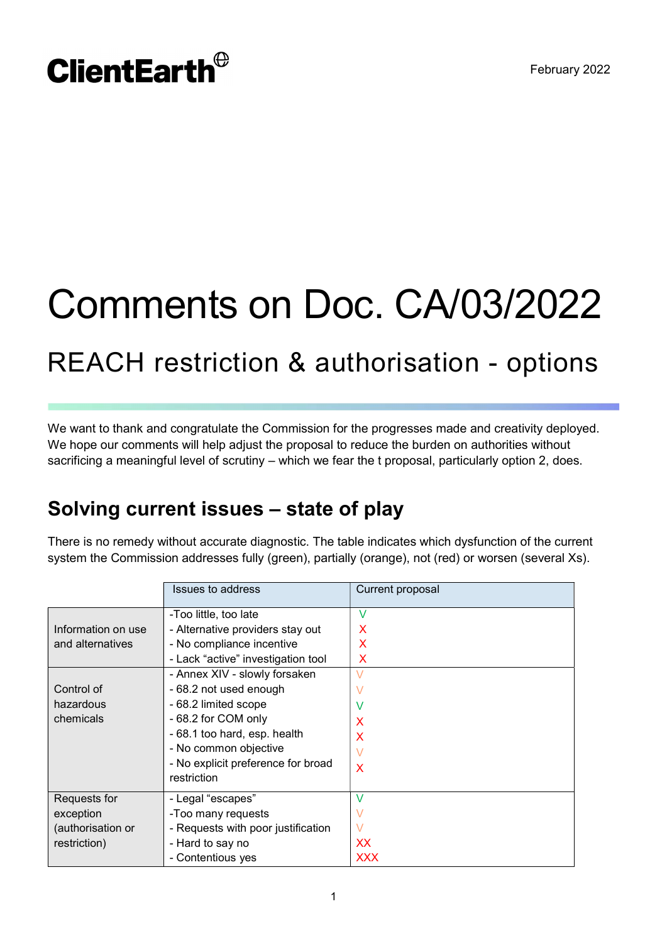# **ClientEarth**<sup>®</sup>

# Comments on Doc. CA/03/2022 REACH restriction & authorisation - options

We want to thank and congratulate the Commission for the progresses made and creativity deployed. We hope our comments will help adjust the proposal to reduce the burden on authorities without sacrificing a meaningful level of scrutiny – which we fear the t proposal, particularly option 2, does.

# Solving current issues – state of play

There is no remedy without accurate diagnostic. The table indicates which dysfunction of the current system the Commission addresses fully (green), partially (orange), not (red) or worsen (several Xs).

|                    | <b>Issues to address</b>           | Current proposal          |
|--------------------|------------------------------------|---------------------------|
|                    | -Too little, too late              | V                         |
| Information on use | - Alternative providers stay out   | $\boldsymbol{\mathsf{x}}$ |
| and alternatives   | - No compliance incentive          | X                         |
|                    | - Lack "active" investigation tool | X                         |
|                    | - Annex XIV - slowly forsaken      | $\vee$                    |
| Control of         | - 68.2 not used enough             | V                         |
| hazardous          | - 68.2 limited scope               | V                         |
| chemicals          | - 68.2 for COM only                | $\boldsymbol{\mathsf{X}}$ |
|                    | - 68.1 too hard, esp. health       | X                         |
|                    | - No common objective              | $\vee$                    |
|                    | - No explicit preference for broad | $\boldsymbol{\mathsf{X}}$ |
|                    | restriction                        |                           |
| Requests for       | - Legal "escapes"                  | V                         |
| exception          | -Too many requests                 | V                         |
| (authorisation or  | - Requests with poor justification | $\vee$                    |
| restriction)       | - Hard to say no                   | XX                        |
|                    | - Contentious yes                  | <b>XXX</b>                |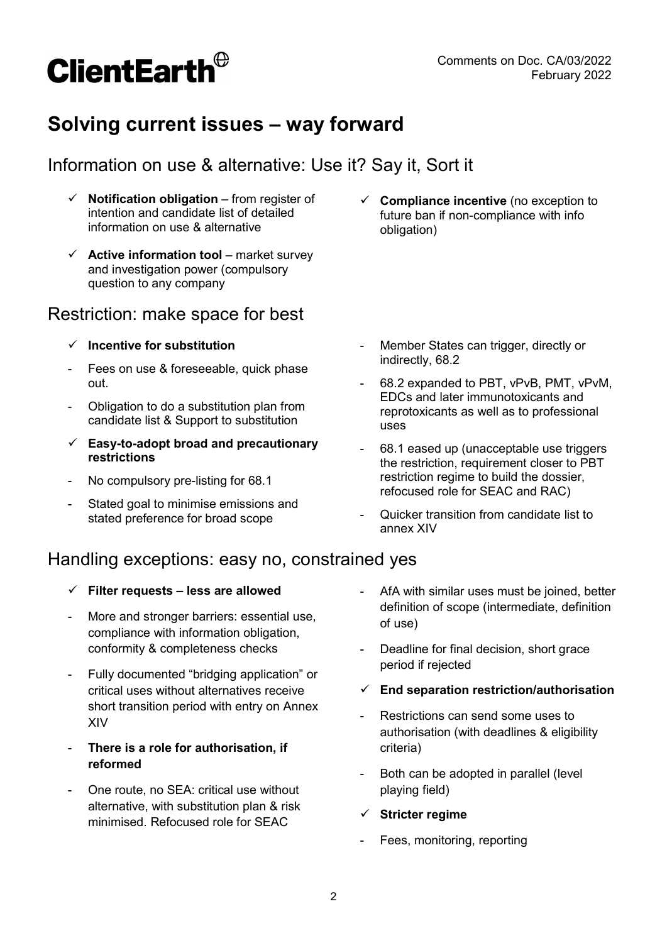

# Solving current issues – way forward

# Information on use & alternative: Use it? Say it, Sort it

- Notification obligation from register of intention and candidate list of detailed information on use & alternative
- $\checkmark$  Active information tool market survey and investigation power (compulsory question to any company

# Restriction: make space for best

- $\checkmark$  Incentive for substitution
- Fees on use & foreseeable, quick phase out.
- Obligation to do a substitution plan from candidate list & Support to substitution
- $\checkmark$  Easy-to-adopt broad and precautionary restrictions
- No compulsory pre-listing for 68.1
- Stated goal to minimise emissions and stated preference for broad scope

 $\checkmark$  Compliance incentive (no exception to future ban if non-compliance with info obligation)

- Member States can trigger, directly or indirectly, 68.2
- 68.2 expanded to PBT, vPvB, PMT, vPvM, EDCs and later immunotoxicants and reprotoxicants as well as to professional uses
- 68.1 eased up (unacceptable use triggers the restriction, requirement closer to PBT restriction regime to build the dossier, refocused role for SEAC and RAC)
- Quicker transition from candidate list to annex XIV

# Handling exceptions: easy no, constrained yes

- $\checkmark$  Filter requests less are allowed
- More and stronger barriers: essential use, compliance with information obligation, conformity & completeness checks
- Fully documented "bridging application" or critical uses without alternatives receive short transition period with entry on Annex XIV
- There is a role for authorisation, if reformed
- One route, no SEA: critical use without alternative, with substitution plan & risk minimised. Refocused role for SEAC
- AfA with similar uses must be joined, better definition of scope (intermediate, definition of use)
- Deadline for final decision, short grace period if rejected
- $\checkmark$  End separation restriction/authorisation
- Restrictions can send some uses to authorisation (with deadlines & eligibility criteria)
- Both can be adopted in parallel (level playing field)
- $\checkmark$  Stricter regime
- Fees, monitoring, reporting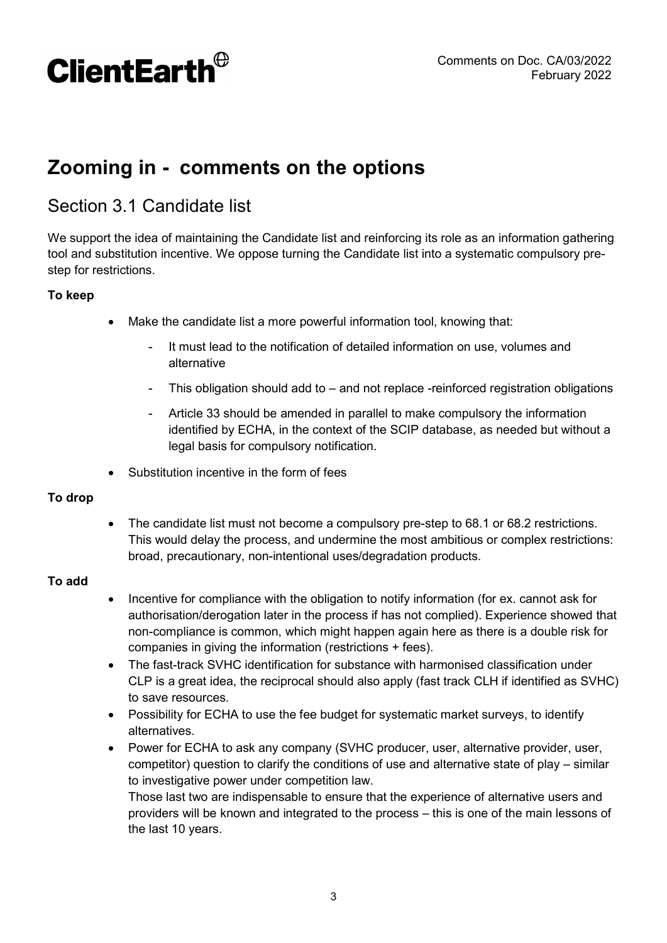# **ClientEarth**<sup>®</sup>

# Zooming in - comments on the options

# Section 3.1 Candidate list

We support the idea of maintaining the Candidate list and reinforcing its role as an information gathering tool and substitution incentive. We oppose turning the Candidate list into a systematic compulsory prestep for restrictions.

#### To keep

- Make the candidate list a more powerful information tool, knowing that:
	- It must lead to the notification of detailed information on use, volumes and alternative
	- This obligation should add to  $-$  and not replace -reinforced registration obligations
	- Article 33 should be amended in parallel to make compulsory the information identified by ECHA, in the context of the SCIP database, as needed but without a legal basis for compulsory notification.
- Substitution incentive in the form of fees

#### To drop

• The candidate list must not become a compulsory pre-step to 68.1 or 68.2 restrictions. This would delay the process, and undermine the most ambitious or complex restrictions: broad, precautionary, non-intentional uses/degradation products.

#### To add

- Incentive for compliance with the obligation to notify information (for ex. cannot ask for authorisation/derogation later in the process if has not complied). Experience showed that non-compliance is common, which might happen again here as there is a double risk for companies in giving the information (restrictions + fees).
- The fast-track SVHC identification for substance with harmonised classification under CLP is a great idea, the reciprocal should also apply (fast track CLH if identified as SVHC) to save resources.
- Possibility for ECHA to use the fee budget for systematic market surveys, to identify alternatives.
- Power for ECHA to ask any company (SVHC producer, user, alternative provider, user, competitor) question to clarify the conditions of use and alternative state of play – similar to investigative power under competition law.

Those last two are indispensable to ensure that the experience of alternative users and providers will be known and integrated to the process – this is one of the main lessons of the last 10 years.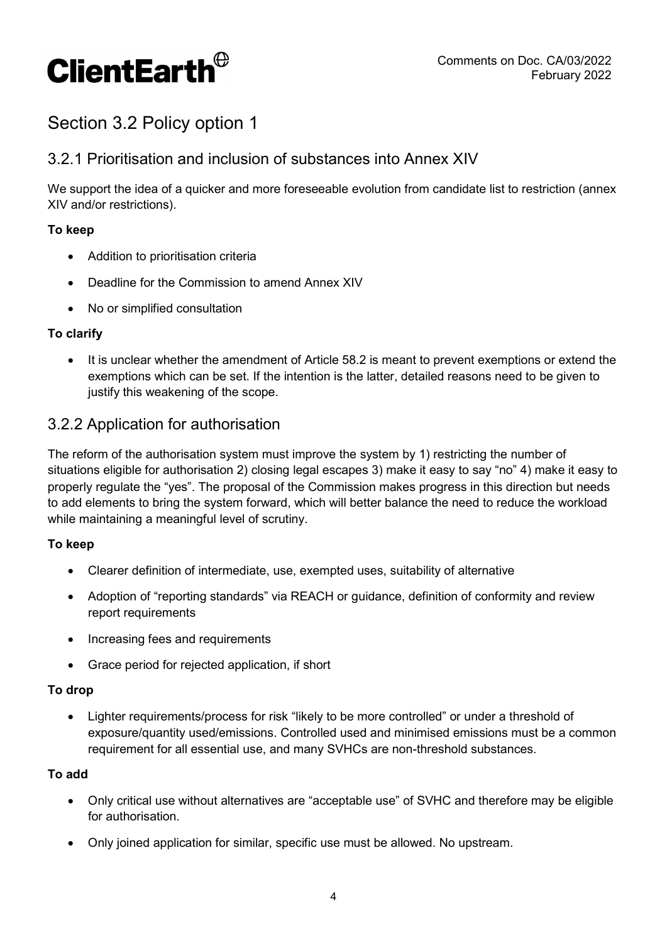

# Section 3.2 Policy option 1

### 3.2.1 Prioritisation and inclusion of substances into Annex XIV

We support the idea of a quicker and more foreseeable evolution from candidate list to restriction (annex XIV and/or restrictions).

#### To keep

- Addition to prioritisation criteria
- Deadline for the Commission to amend Annex XIV
- No or simplified consultation

#### To clarify

• It is unclear whether the amendment of Article 58.2 is meant to prevent exemptions or extend the exemptions which can be set. If the intention is the latter, detailed reasons need to be given to justify this weakening of the scope.

#### 3.2.2 Application for authorisation

The reform of the authorisation system must improve the system by 1) restricting the number of situations eligible for authorisation 2) closing legal escapes 3) make it easy to say "no" 4) make it easy to properly regulate the "yes". The proposal of the Commission makes progress in this direction but needs to add elements to bring the system forward, which will better balance the need to reduce the workload while maintaining a meaningful level of scrutiny.

#### To keep

- Clearer definition of intermediate, use, exempted uses, suitability of alternative
- Adoption of "reporting standards" via REACH or guidance, definition of conformity and review report requirements
- Increasing fees and requirements
- Grace period for rejected application, if short

#### To drop

• Lighter requirements/process for risk "likely to be more controlled" or under a threshold of exposure/quantity used/emissions. Controlled used and minimised emissions must be a common requirement for all essential use, and many SVHCs are non-threshold substances.

#### To add

- Only critical use without alternatives are "acceptable use" of SVHC and therefore may be eligible for authorisation.
- Only joined application for similar, specific use must be allowed. No upstream.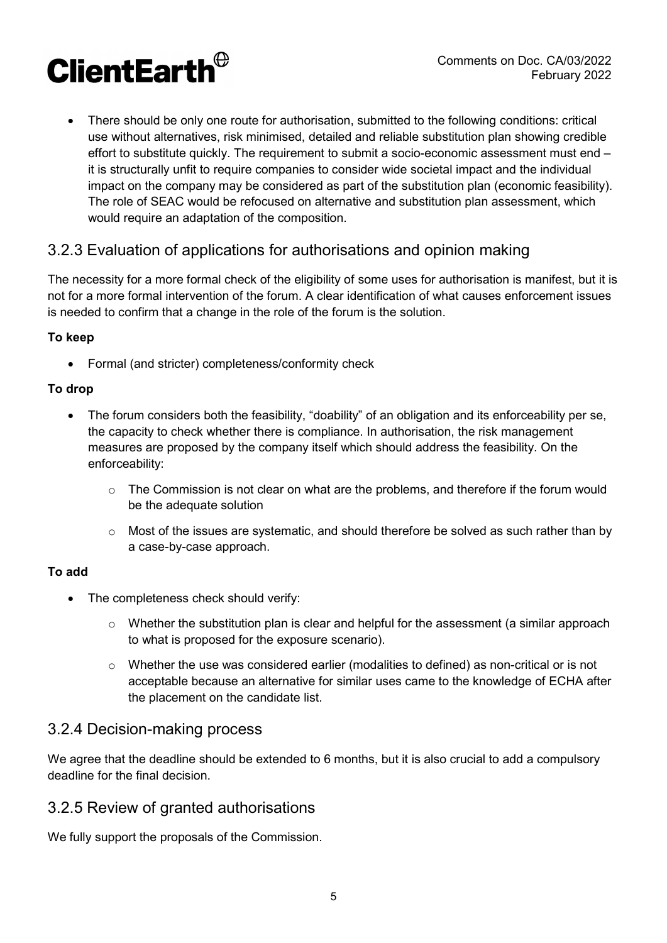# **ClientEarth**<sup>®</sup>

 There should be only one route for authorisation, submitted to the following conditions: critical use without alternatives, risk minimised, detailed and reliable substitution plan showing credible effort to substitute quickly. The requirement to submit a socio-economic assessment must end – it is structurally unfit to require companies to consider wide societal impact and the individual impact on the company may be considered as part of the substitution plan (economic feasibility). The role of SEAC would be refocused on alternative and substitution plan assessment, which would require an adaptation of the composition.

# 3.2.3 Evaluation of applications for authorisations and opinion making

The necessity for a more formal check of the eligibility of some uses for authorisation is manifest, but it is not for a more formal intervention of the forum. A clear identification of what causes enforcement issues is needed to confirm that a change in the role of the forum is the solution.

#### To keep

Formal (and stricter) completeness/conformity check

#### To drop

- The forum considers both the feasibility, "doability" of an obligation and its enforceability per se, the capacity to check whether there is compliance. In authorisation, the risk management measures are proposed by the company itself which should address the feasibility. On the enforceability:
	- $\circ$  The Commission is not clear on what are the problems, and therefore if the forum would be the adequate solution
	- $\circ$  Most of the issues are systematic, and should therefore be solved as such rather than by a case-by-case approach.

#### To add

- The completeness check should verify:
	- o Whether the substitution plan is clear and helpful for the assessment (a similar approach to what is proposed for the exposure scenario).
	- $\circ$  Whether the use was considered earlier (modalities to defined) as non-critical or is not acceptable because an alternative for similar uses came to the knowledge of ECHA after the placement on the candidate list.

## 3.2.4 Decision-making process

We agree that the deadline should be extended to 6 months, but it is also crucial to add a compulsory deadline for the final decision.

## 3.2.5 Review of granted authorisations

We fully support the proposals of the Commission.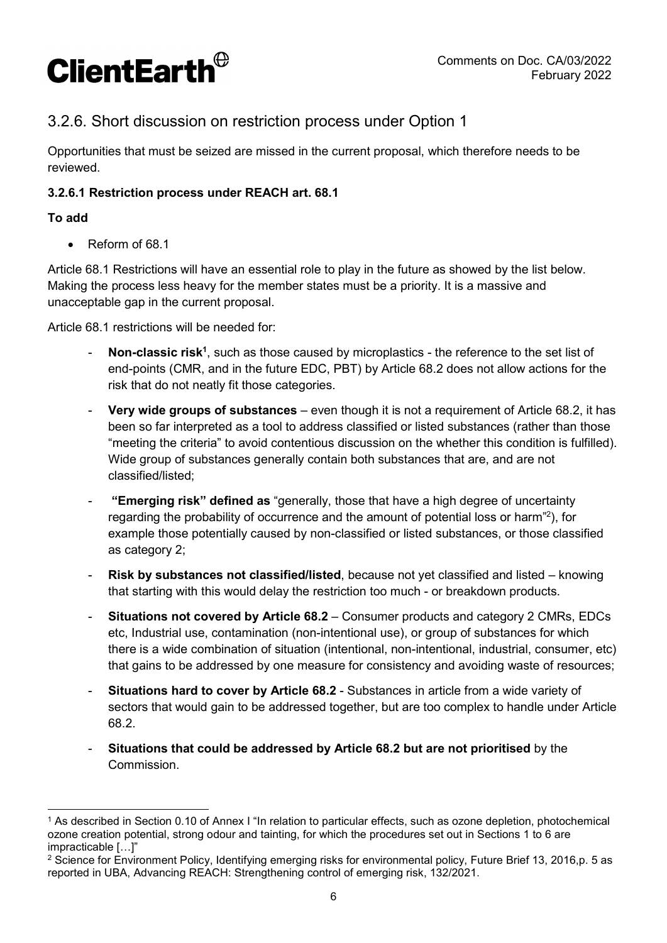

## 3.2.6. Short discussion on restriction process under Option 1

Opportunities that must be seized are missed in the current proposal, which therefore needs to be reviewed.

#### 3.2.6.1 Restriction process under REACH art. 68.1

#### To add

• Reform of 68.1

Article 68.1 Restrictions will have an essential role to play in the future as showed by the list below. Making the process less heavy for the member states must be a priority. It is a massive and unacceptable gap in the current proposal.

Article 68.1 restrictions will be needed for:

- Non-classic risk<sup>1</sup>, such as those caused by microplastics the reference to the set list of end-points (CMR, and in the future EDC, PBT) by Article 68.2 does not allow actions for the risk that do not neatly fit those categories.
- Very wide groups of substances even though it is not a requirement of Article 68.2, it has been so far interpreted as a tool to address classified or listed substances (rather than those "meeting the criteria" to avoid contentious discussion on the whether this condition is fulfilled). Wide group of substances generally contain both substances that are, and are not classified/listed;
- "Emerging risk" defined as "generally, those that have a high degree of uncertainty regarding the probability of occurrence and the amount of potential loss or harm"<sup>2</sup> ), for example those potentially caused by non-classified or listed substances, or those classified as category 2;
- Risk by substances not classified/listed, because not yet classified and listed knowing that starting with this would delay the restriction too much - or breakdown products.
- Situations not covered by Article 68.2 Consumer products and category 2 CMRs, EDCs etc, Industrial use, contamination (non-intentional use), or group of substances for which there is a wide combination of situation (intentional, non-intentional, industrial, consumer, etc) that gains to be addressed by one measure for consistency and avoiding waste of resources;
- Situations hard to cover by Article 68.2 Substances in article from a wide variety of sectors that would gain to be addressed together, but are too complex to handle under Article 68.2.
- Situations that could be addressed by Article 68.2 but are not prioritised by the **Commission**

 $\overline{a}$ 1 As described in Section 0.10 of Annex I "In relation to particular effects, such as ozone depletion, photochemical ozone creation potential, strong odour and tainting, for which the procedures set out in Sections 1 to 6 are impracticable […]"

 $^2$  Science for Environment Policy, Identifying emerging risks for environmental policy, Future Brief 13, 2016,p. 5 as reported in UBA, Advancing REACH: Strengthening control of emerging risk, 132/2021.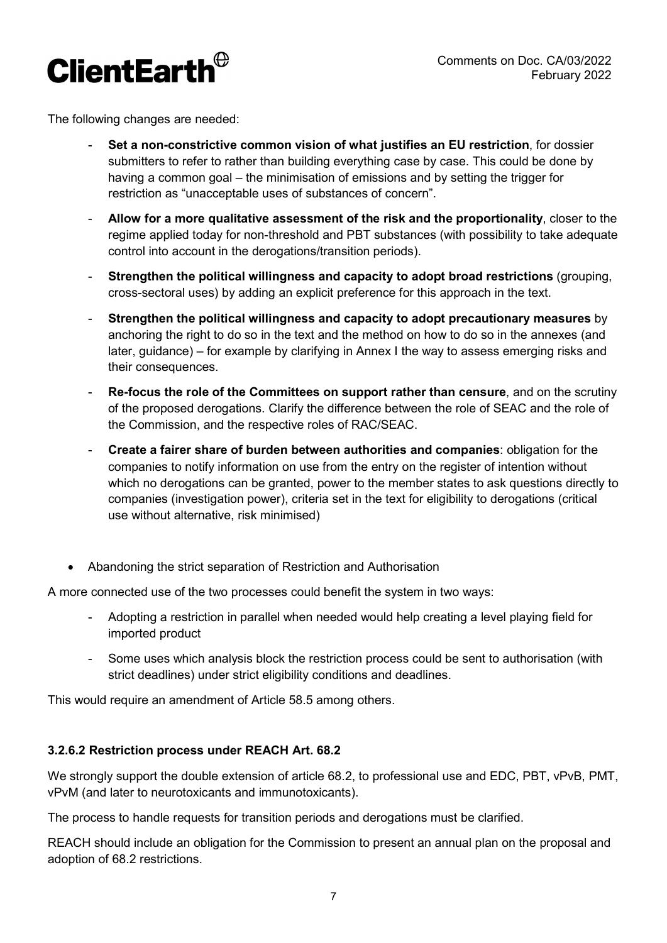

The following changes are needed:

- Set a non-constrictive common vision of what justifies an EU restriction, for dossier submitters to refer to rather than building everything case by case. This could be done by having a common goal – the minimisation of emissions and by setting the trigger for restriction as "unacceptable uses of substances of concern".
- Allow for a more qualitative assessment of the risk and the proportionality, closer to the regime applied today for non-threshold and PBT substances (with possibility to take adequate control into account in the derogations/transition periods).
- Strengthen the political willingness and capacity to adopt broad restrictions (grouping, cross-sectoral uses) by adding an explicit preference for this approach in the text.
- Strengthen the political willingness and capacity to adopt precautionary measures by anchoring the right to do so in the text and the method on how to do so in the annexes (and later, guidance) – for example by clarifying in Annex I the way to assess emerging risks and their consequences.
- Re-focus the role of the Committees on support rather than censure, and on the scrutiny of the proposed derogations. Clarify the difference between the role of SEAC and the role of the Commission, and the respective roles of RAC/SEAC.
- Create a fairer share of burden between authorities and companies: obligation for the companies to notify information on use from the entry on the register of intention without which no derogations can be granted, power to the member states to ask questions directly to companies (investigation power), criteria set in the text for eligibility to derogations (critical use without alternative, risk minimised)
- Abandoning the strict separation of Restriction and Authorisation

A more connected use of the two processes could benefit the system in two ways:

- Adopting a restriction in parallel when needed would help creating a level playing field for imported product
- Some uses which analysis block the restriction process could be sent to authorisation (with strict deadlines) under strict eligibility conditions and deadlines.

This would require an amendment of Article 58.5 among others.

#### 3.2.6.2 Restriction process under REACH Art. 68.2

We strongly support the double extension of article 68.2, to professional use and EDC, PBT, vPvB, PMT, vPvM (and later to neurotoxicants and immunotoxicants).

The process to handle requests for transition periods and derogations must be clarified.

REACH should include an obligation for the Commission to present an annual plan on the proposal and adoption of 68.2 restrictions.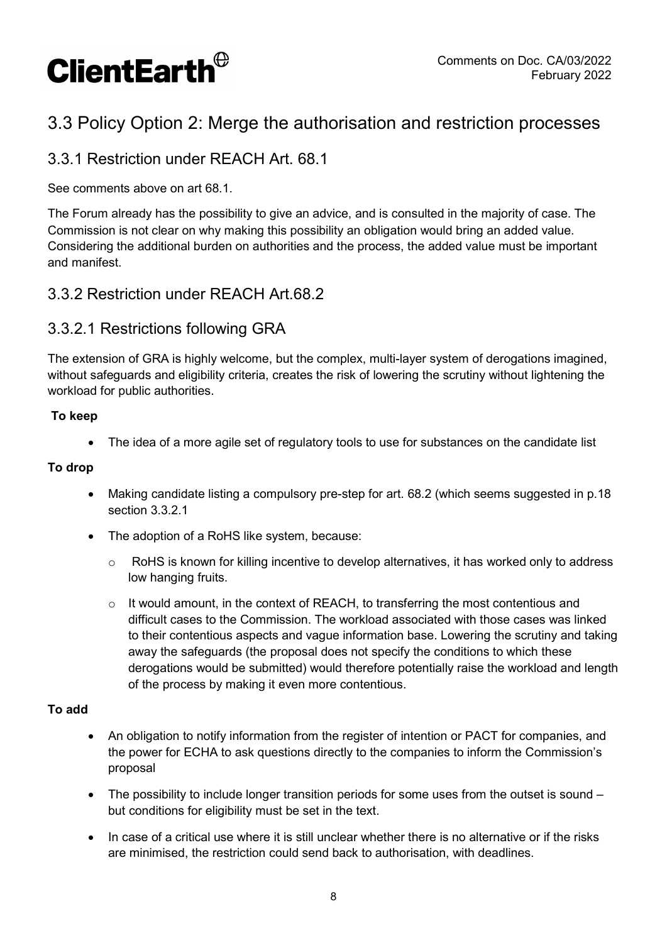

# 3.3 Policy Option 2: Merge the authorisation and restriction processes

## 3.3.1 Restriction under REACH Art. 68.1

See comments above on art 68.1.

The Forum already has the possibility to give an advice, and is consulted in the majority of case. The Commission is not clear on why making this possibility an obligation would bring an added value. Considering the additional burden on authorities and the process, the added value must be important and manifest.

### 3.3.2 Restriction under REACH Art.68.2

### 3.3.2.1 Restrictions following GRA

The extension of GRA is highly welcome, but the complex, multi-layer system of derogations imagined, without safeguards and eligibility criteria, creates the risk of lowering the scrutiny without lightening the workload for public authorities.

#### To keep

The idea of a more agile set of regulatory tools to use for substances on the candidate list

#### To drop

- Making candidate listing a compulsory pre-step for art. 68.2 (which seems suggested in p.18 section 3.3.2.1
- The adoption of a RoHS like system, because:
	- $\circ$  RoHS is known for killing incentive to develop alternatives, it has worked only to address low hanging fruits.
	- $\circ$  It would amount, in the context of REACH, to transferring the most contentious and difficult cases to the Commission. The workload associated with those cases was linked to their contentious aspects and vague information base. Lowering the scrutiny and taking away the safeguards (the proposal does not specify the conditions to which these derogations would be submitted) would therefore potentially raise the workload and length of the process by making it even more contentious.

#### To add

- An obligation to notify information from the register of intention or PACT for companies, and the power for ECHA to ask questions directly to the companies to inform the Commission's proposal
- The possibility to include longer transition periods for some uses from the outset is sound but conditions for eligibility must be set in the text.
- In case of a critical use where it is still unclear whether there is no alternative or if the risks are minimised, the restriction could send back to authorisation, with deadlines.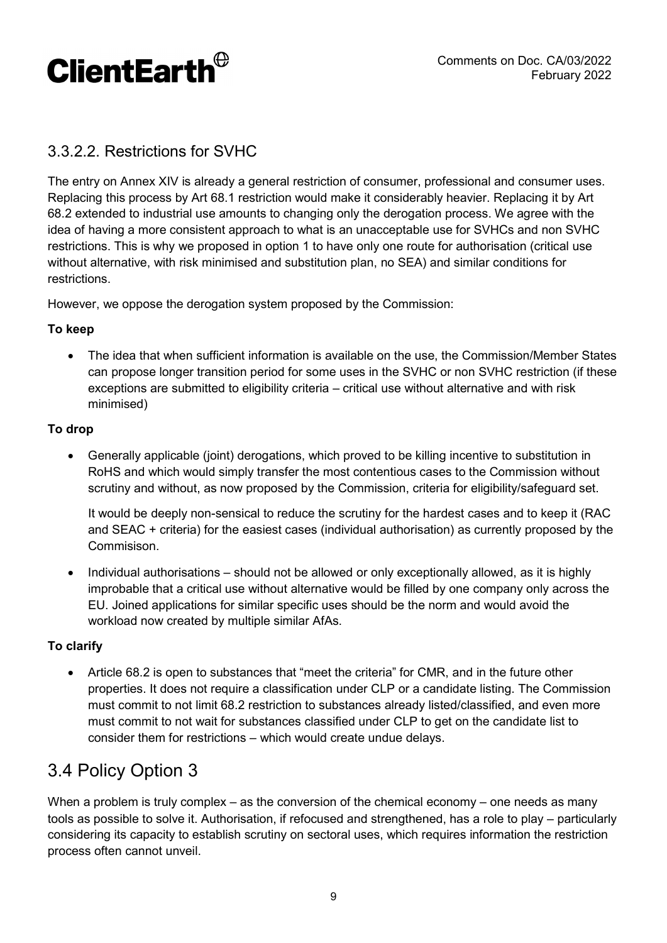

# 3.3.2.2. Restrictions for SVHC

The entry on Annex XIV is already a general restriction of consumer, professional and consumer uses. Replacing this process by Art 68.1 restriction would make it considerably heavier. Replacing it by Art 68.2 extended to industrial use amounts to changing only the derogation process. We agree with the idea of having a more consistent approach to what is an unacceptable use for SVHCs and non SVHC restrictions. This is why we proposed in option 1 to have only one route for authorisation (critical use without alternative, with risk minimised and substitution plan, no SEA) and similar conditions for restrictions.

However, we oppose the derogation system proposed by the Commission:

#### To keep

 The idea that when sufficient information is available on the use, the Commission/Member States can propose longer transition period for some uses in the SVHC or non SVHC restriction (if these exceptions are submitted to eligibility criteria – critical use without alternative and with risk minimised)

#### To drop

 Generally applicable (joint) derogations, which proved to be killing incentive to substitution in RoHS and which would simply transfer the most contentious cases to the Commission without scrutiny and without, as now proposed by the Commission, criteria for eligibility/safeguard set.

It would be deeply non-sensical to reduce the scrutiny for the hardest cases and to keep it (RAC and SEAC + criteria) for the easiest cases (individual authorisation) as currently proposed by the Commisison.

• Individual authorisations – should not be allowed or only exceptionally allowed, as it is highly improbable that a critical use without alternative would be filled by one company only across the EU. Joined applications for similar specific uses should be the norm and would avoid the workload now created by multiple similar AfAs.

#### To clarify

 Article 68.2 is open to substances that "meet the criteria" for CMR, and in the future other properties. It does not require a classification under CLP or a candidate listing. The Commission must commit to not limit 68.2 restriction to substances already listed/classified, and even more must commit to not wait for substances classified under CLP to get on the candidate list to consider them for restrictions – which would create undue delays.

# 3.4 Policy Option 3

When a problem is truly complex – as the conversion of the chemical economy – one needs as many tools as possible to solve it. Authorisation, if refocused and strengthened, has a role to play – particularly considering its capacity to establish scrutiny on sectoral uses, which requires information the restriction process often cannot unveil.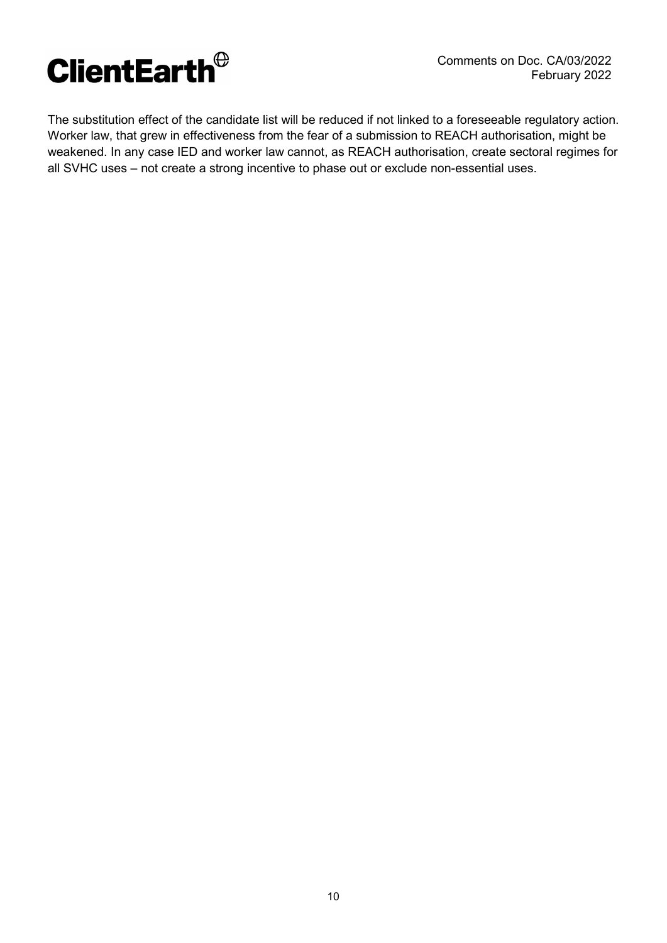

The substitution effect of the candidate list will be reduced if not linked to a foreseeable regulatory action. Worker law, that grew in effectiveness from the fear of a submission to REACH authorisation, might be weakened. In any case IED and worker law cannot, as REACH authorisation, create sectoral regimes for all SVHC uses – not create a strong incentive to phase out or exclude non-essential uses.